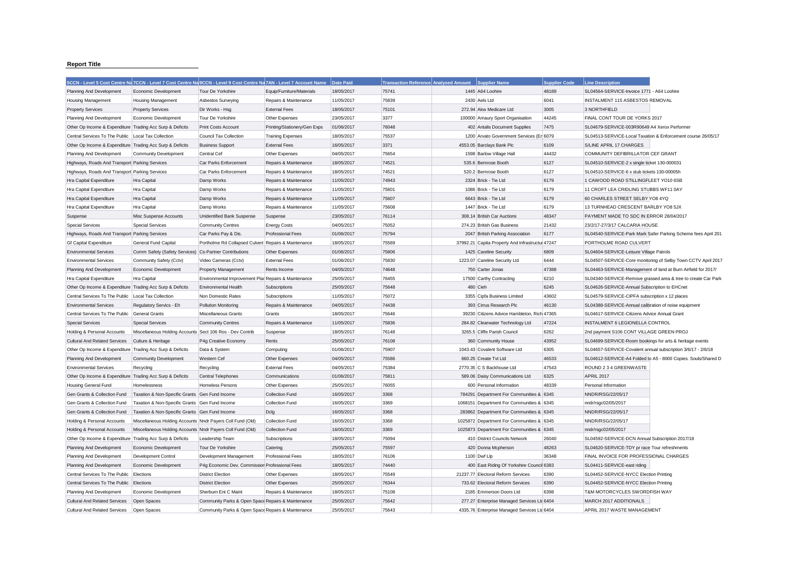## **Report Title**

|                                                           | 5CCN - Level 5 Cost Centre Na 7CCN - Level 7 Cost Centre Na 9CCN - Level 9 Cost Centre Na 7AN - Level 7 Account Name |                                                      |                              | Date Paid  | Transaction Reference Analysed Amount Supplier Name |                                                  | <b>Supplier Code</b> | <b>Line Description</b>                                       |                                                               |
|-----------------------------------------------------------|----------------------------------------------------------------------------------------------------------------------|------------------------------------------------------|------------------------------|------------|-----------------------------------------------------|--------------------------------------------------|----------------------|---------------------------------------------------------------|---------------------------------------------------------------|
| Planning And Development                                  | Economic Development                                                                                                 | Tour De Yorkshire                                    | Equip/Furniture/Materials    | 18/05/2017 | 75741                                               | 1445 A64 Loohire                                 | 48189                | SL04564-SERVICE-Invoice 1771 - A64 Loohire                    |                                                               |
| Housing Management                                        | <b>Housing Management</b>                                                                                            | Asbestos Surveying                                   | Repairs & Maintenance        | 11/05/2017 | 75839                                               | 2430 Aels Ltd                                    | 6041                 | INSTALMENT 115 ASBESTOS REMOVAL                               |                                                               |
| <b>Property Services</b>                                  | <b>Property Services</b>                                                                                             | Dir Works - Hsg                                      | <b>External Fees</b>         | 18/05/2017 | 75101                                               | 272.94 Akw Medicare Ltd                          | 3005                 | 3 NORTHFIELD                                                  |                                                               |
| Planning And Development                                  | Economic Development                                                                                                 | Tour De Yorkshire                                    | Other Expenses               | 23/05/2017 | 3377                                                | 100000 Amaury Sport Organisation                 | 44245                | FINAL CONT TOUR DE YORKS 2017                                 |                                                               |
| Other Op Income & Expenditure Trading Acc Surp & Deficits |                                                                                                                      | Print Costs Account                                  | Printing/Stationery/Gen Exps | 01/06/2017 | 76048                                               | 402 Antalis Document Supplies                    | 7475                 | SL04679-SERVICE-003R90649 A4 Xerox Performer                  |                                                               |
| Central Services To The Public                            | Local Tax Collection                                                                                                 | Council Tax Collection                               | <b>Training Expenses</b>     | 18/05/2017 | 75537                                               | 1200 Arvato Government Services (Er 6079         |                      |                                                               | SL04513-SERVICE-Local Taxation & Enforcement course 26/05/17  |
| Other Op Income & Expenditure Trading Acc Surp & Deficits |                                                                                                                      | <b>Business Support</b>                              | <b>External Fees</b>         | 16/05/2017 | 3371                                                | 4553.05 Barclays Bank Plc                        | 6109                 | S/LINE APRIL 17 CHARGES                                       |                                                               |
| Planning And Development                                  | <b>Community Development</b>                                                                                         | Central Cef                                          | Other Expenses               | 04/05/2017 | 75654                                               | 1598 Barlow Village Hall                         | 44432                | COMMUNITY DEFIBRILLATOR CEF GRANT                             |                                                               |
| Highways, Roads And Transport Parking Services            |                                                                                                                      | Car Parks Enforcement                                | Repairs & Maintenance        | 18/05/2017 | 74521                                               | 535.6 Bemrose Booth                              | 6127                 | SL04510-SERVICE-2 x single ticket 130-000031                  |                                                               |
| Highways, Roads And Transport Parking Services            |                                                                                                                      | Car Parks Enforcement                                | Repairs & Maintenance        | 18/05/2017 | 74521                                               | 520.2 Bemrose Booth                              | 6127                 | SL04510-SERVICE-6 x stub tickets 130-00005h                   |                                                               |
| Hra Capital Expenditure                                   | <b>Hra Capital</b>                                                                                                   | Damp Works                                           | Repairs & Maintenance        | 11/05/2017 | 74943                                               | 2324 Brick - Tie Ltd                             | 6179                 | 1 CAWOOD ROAD STILLINGFLEET YO10 6SB                          |                                                               |
| Hra Capital Expenditure                                   | Hra Capital                                                                                                          | Damp Works                                           | Repairs & Maintenance        | 11/05/2017 | 75601                                               | 1086 Brick - Tie Ltd                             | 6179                 | 11 CROFT LEA CRIDLING STUBBS WF11 0AY                         |                                                               |
| Hra Capital Expenditure                                   | Hra Capital                                                                                                          | Damp Works                                           | Repairs & Maintenance        | 11/05/2017 | 75607                                               | 6643 Brick - Tie Ltd                             | 6179                 | 60 CHARLES STREET SELBY YO8 4YQ                               |                                                               |
| Hra Capital Expenditure                                   | Hra Capital                                                                                                          | Damp Works                                           | Repairs & Maintenance        | 11/05/2017 | 75608                                               | 1447 Brick - Tie Ltd                             | 6179                 | 13 TURNHEAD CRESCENT BARLBY YO8 5JX                           |                                                               |
| Suspense                                                  | Misc Suspense Accounts                                                                                               | Unidentified Bank Suspense                           | Suspense                     | 23/05/2017 | 76114                                               | 308.14 British Car Auctions                      | 48347                | PAYMENT MADE TO SDC IN ERROR 28/04/2017                       |                                                               |
| Special Services                                          | <b>Special Services</b>                                                                                              | <b>Community Centres</b>                             | <b>Energy Costs</b>          | 04/05/2017 | 75052                                               | 274.23 British Gas Business                      | 21432                | 23/2/17-27/3/17 CALCARIA HOUSE                                |                                                               |
| Highways, Roads And Transport Parking Services            |                                                                                                                      | Car Parks Pay & Dis                                  | <b>Professional Fees</b>     | 01/06/2017 | 75794                                               | 2047 British Parking Association                 | 6177                 |                                                               | SL04540-SERVICE-Park Mark Safer Parking Scheme fees April 201 |
| <b>Gf Capital Expenditure</b>                             | General Fund Capital                                                                                                 | Portholme Rd Collapsed Culvert Repairs & Maintenance |                              | 18/05/2017 | 75569                                               | 37992.21 Capita Property And Infrastructur 47247 |                      | PORTHOLME ROAD CULVERT                                        |                                                               |
| <b>Environmental Services</b>                             | Comm Safety (Safety Services)                                                                                        | <b>Cs-Partner Contributions</b>                      | Other Expenses               | 01/06/2017 | 75806                                               | 1425 Careline Security                           | 6809                 | SL04604-SERVICE-Leisure Village Patrols                       |                                                               |
| <b>Environmental Services</b>                             | Community Safety (Cctv)                                                                                              | Video Cameras (Cctv)                                 | <b>External Fees</b>         | 01/06/2017 | 75830                                               | 1223.07 Careline Security Ltd                    | 6444                 |                                                               | SL04507-SERVICE-Core monitoring of Selby Town CCTV April 2017 |
| Planning And Development                                  | Economic Development                                                                                                 | <b>Property Management</b>                           | Rents Income                 | 04/05/2017 | 74648                                               | 750 Carter Jonas                                 | 47388                | SL04463-SERVICE-Management of land at Burn Airfield for 2017/ |                                                               |
| Hra Capital Expenditure                                   | Hra Capital                                                                                                          | Environmental Improvement Plar Repairs & Maintenance |                              | 25/05/2017 | 76455                                               | 17500 Carthy Contracting                         | 6210                 |                                                               | SL04340-SERVICE-Remove grassed area & tree to create Car Park |
| Other Op Income & Expenditure Trading Acc Surp & Deficits |                                                                                                                      | <b>Environmental Health</b>                          | Subscriptions                | 25/05/2017 | 75648                                               | 480 Cieh                                         | 6245                 | SL04626-SERVICE-Annual Subscription to EHCnet                 |                                                               |
| Central Services To The Public                            | Local Tax Collection                                                                                                 | Non Domestic Rates                                   | Subscriptions                | 11/05/2017 | 75072                                               | 3355 Cipfa Business Limited                      | 43602                | SL04579-SERVICE-CIPFA subscription x 12 places                |                                                               |
| <b>Environmental Services</b>                             | Regulatory Servics - Eh                                                                                              | Pollution Monitoring                                 | Repairs & Maintenance        | 04/05/2017 | 74438                                               | 393 Cirrus Research Plc                          | 46130                | SL04388-SERVICE-Annual calibration of noise equipment         |                                                               |
| Central Services To The Public                            | <b>General Grants</b>                                                                                                | Miscellaneous Grants                                 | Grants                       | 18/05/2017 | 75646                                               | 39230 Citizens Advice Hambleton, Rich 47365      |                      | SL04617-SERVICE-Citizens Advice Annual Grant                  |                                                               |
| <b>Special Services</b>                                   | <b>Special Services</b>                                                                                              | <b>Community Centres</b>                             | Repairs & Maintenance        | 11/05/2017 | 75836                                               | 284.82 Clearwater Technology Ltd                 | 47224                | INSTALMENT 6 LEGIONELLA CONTROL                               |                                                               |
| Holding & Personal Accounts                               | Miscellaneous Holding Accounts Sect 106 Ros - Dev Contrib                                                            |                                                      | Suspense                     | 18/05/2017 | 76148                                               | 3265.5 Cliffe Parish Council                     | 6262                 | 2nd payment S106 CONT VILLAGE GREEN PROJ                      |                                                               |
| <b>Cultural And Related Services</b>                      | Culture & Heritage                                                                                                   | P4g Creative Economy                                 | Rents                        | 25/05/2017 | 76108                                               | 360 Community House                              | 43952                | SL04699-SERVICE-Room bookings for arts & heritage events      |                                                               |
| Other Op Income & Expenditure Trading Acc Surp & Deficits |                                                                                                                      | Data & System                                        | Computing                    | 01/06/2017 | 75907                                               | 1043.43 Covalent Software Ltd                    | 6305                 | SL04657-SERVICE-Covalent annual subscription 3/6/17 - 2/6/18  |                                                               |
| Planning And Development                                  | <b>Community Development</b>                                                                                         | Western Cef                                          | Other Expenses               | 04/05/2017 | 75586                                               | 660.25 Create Tvt Ltd                            | 46533                |                                                               | SL04612-SERVICE-A4 Folded to A5 - 8000 Copies. Souls/Shared D |
| <b>Environmental Services</b>                             | Recycling                                                                                                            | Recycling                                            | <b>External Fees</b>         | 04/05/2017 | 75384                                               | 2770.35 C S Backhouse Ltd                        | 47543                | ROUND 2 3 4 GREENWASTE                                        |                                                               |
| Other Op Income & Expenditure Trading Acc Surp & Deficits |                                                                                                                      | Central Telephones                                   | Communications               | 01/06/2017 | 75811                                               | 589.06 Daisy Communications Ltd                  | 6325                 | <b>APRIL 2017</b>                                             |                                                               |
| Housing General Fund                                      | Homelessness                                                                                                         | Homeless Persons                                     | Other Expenses               | 25/05/2017 | 76055                                               | 600 Personal Information                         | 48339                | Personal Information                                          |                                                               |
| Gen Grants & Collection Fund                              | Taxation & Non-Specific Grants Gen Fund Income                                                                       |                                                      | Collection Fund              | 16/05/2017 | 3368                                                | 784291 Department For Communities & 6345         |                      | NNDR/RSG/22/05/17                                             |                                                               |
| Gen Grants & Collection Fund                              | Taxation & Non-Specific Grants Gen Fund Income                                                                       |                                                      | Collection Fund              | 16/05/2017 | 3369                                                | 1068151 Department For Communities & 6345        |                      | nndr/rsgc02/05/2017                                           |                                                               |
| Gen Grants & Collection Fund                              | Taxation & Non-Specific Grants Gen Fund Income                                                                       |                                                      | Dclg                         | 16/05/2017 | 3368                                                | 283862 Department For Communities & 6345         |                      | NNDR/RSG/22/05/17                                             |                                                               |
| Holding & Personal Accounts                               | Miscellaneous Holding Accounts Nndr Payers Coll Fund (Old)                                                           |                                                      | Collection Fund              | 16/05/2017 | 3368                                                | 1025872 Department For Communities & 6345        |                      | NNDR/RSG/22/05/17                                             |                                                               |
| Holding & Personal Accounts                               | Miscellaneous Holding Accounts Nndr Payers Coll Fund (Old)                                                           |                                                      | <b>Collection Fund</b>       | 16/05/2017 | 3369                                                | 1025873 Department For Communities & 6345        |                      | nndr/rsgc02/05/2017                                           |                                                               |
| Other Op Income & Expenditure Trading Acc Surp & Deficits |                                                                                                                      | Leadership Team                                      | Subscriptions                | 18/05/2017 | 75094                                               | 410 District Councils Network                    | 26040                | SL04592-SERVICE-DCN Annual Subscription 2017/18               |                                                               |
| Planning And Development                                  | Economic Development                                                                                                 | Tour De Yorkshire                                    | Catering                     | 25/05/2017 | 75597                                               | 420 Donna Mcpherson                              | 48263                | SL04620-SERVICE-TDY pr race Tour refreshments                 |                                                               |
| Planning And Development                                  | <b>Development Control</b>                                                                                           | Development Management                               | Professional Fees            | 18/05/2017 | 76106                                               | 1100 Dwf Llp                                     | 36348                | FINAL INVOICE FOR PROFESSIONAL CHARGES                        |                                                               |
| Planning And Development                                  | Economic Development                                                                                                 | P4g Economic Dev. Commissior Professional Fees       |                              | 18/05/2017 | 74440                                               | 400 East Riding Of Yorkshire Council 6383        |                      | SL04411-SERVICE-east riding                                   |                                                               |
| Central Services To The Public                            | Elections                                                                                                            | <b>District Election</b>                             | Other Expenses               | 18/05/2017 | 75549                                               | 21237.77 Electoral Reform Services               | 6390                 | SL04452-SERVICE-NYCC Election Printing                        |                                                               |
| Central Services To The Public                            | Elections                                                                                                            | <b>District Election</b>                             | Other Expenses               | 25/05/2017 | 76344                                               | 733.62 Electoral Reform Services                 | 6390                 | SL04452-SERVICE-NYCC Election Printing                        |                                                               |
| Planning And Development                                  | Economic Development                                                                                                 | Sherburn Ent C Maint                                 | Repairs & Maintenance        | 18/05/2017 | 75108                                               | 2185 Emmerson Doors Ltd                          | 6398                 | <b>T&amp;M MOTORCYCLES SWORDFISH WAY</b>                      |                                                               |
| <b>Cultural And Related Services</b>                      | Open Spaces                                                                                                          | Community Parks & Open Space Repairs & Maintenance   |                              | 25/05/2017 | 75642                                               | 277.27 Enterprise Managed Services Ltd 6404      |                      | MARCH 2017 ADDITIONALS                                        |                                                               |
| Cultural And Related Services                             | Open Spaces                                                                                                          | Community Parks & Open Space Repairs & Maintenance   |                              | 25/05/2017 | 75643                                               | 4335.76 Enterprise Managed Services Ltd 6404     |                      | APRIL 2017 WASTE MANAGEMENT                                   |                                                               |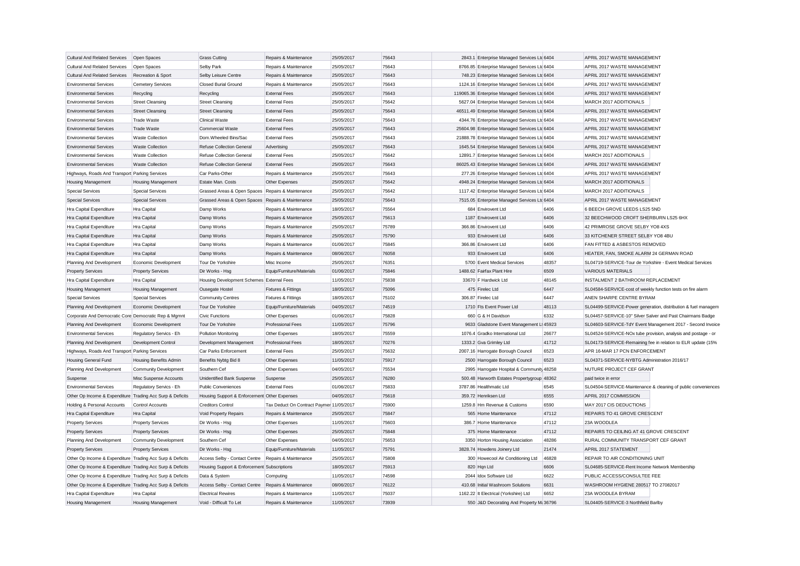| Cultural And Related Services  Open Spaces                |                              | <b>Grass Cutting</b>                              | Repairs & Maintenance                    | 25/05/2017 | 75643 | 2843.1 Enterprise Managed Services Ltd 6404    |       | APRIL 2017 WASTE MANAGEMENT                                   |                                                               |
|-----------------------------------------------------------|------------------------------|---------------------------------------------------|------------------------------------------|------------|-------|------------------------------------------------|-------|---------------------------------------------------------------|---------------------------------------------------------------|
| <b>Cultural And Related Services</b>                      | Open Spaces                  | Selby Park                                        | Repairs & Maintenance                    | 25/05/2017 | 75643 | 8766.85 Enterprise Managed Services Ltd 6404   |       | APRIL 2017 WASTE MANAGEMENT                                   |                                                               |
| <b>Cultural And Related Services</b>                      | Recreation & Sport           | Selby Leisure Centre                              | Repairs & Maintenance                    | 25/05/2017 | 75643 | 748.23 Enterprise Managed Services Ltd 6404    |       | APRIL 2017 WASTE MANAGEMENT                                   |                                                               |
| <b>Environmental Services</b>                             | Cemetery Services            | Closed Burial Ground                              | Repairs & Maintenance                    | 25/05/2017 | 75643 | 1124.16 Enterprise Managed Services Ltd 6404   |       | APRIL 2017 WASTE MANAGEMENT                                   |                                                               |
| <b>Environmental Services</b>                             | Recycling                    | Recycling                                         | <b>External Fees</b>                     | 25/05/2017 | 75643 | 119065.36 Enterprise Managed Services Ltc 6404 |       | APRIL 2017 WASTE MANAGEMENT                                   |                                                               |
| <b>Environmental Services</b>                             | <b>Street Cleansing</b>      | <b>Street Cleansing</b>                           | <b>External Fees</b>                     | 25/05/2017 | 75642 | 5627.04 Enterprise Managed Services Ltd 6404   |       | MARCH 2017 ADDITIONALS                                        |                                                               |
| <b>Environmental Services</b>                             | <b>Street Cleansing</b>      | <b>Street Cleansing</b>                           | <b>External Fees</b>                     | 25/05/2017 | 75643 | 46511.49 Enterprise Managed Services Ltc 6404  |       | APRIL 2017 WASTE MANAGEMENT                                   |                                                               |
| <b>Environmental Services</b>                             | <b>Trade Waste</b>           | <b>Clinical Waste</b>                             | <b>External Fees</b>                     | 25/05/2017 | 75643 | 4344.76 Enterprise Managed Services Ltd 6404   |       | APRIL 2017 WASTE MANAGEMENT                                   |                                                               |
| <b>Environmental Services</b>                             | <b>Trade Waste</b>           | Commercial Waste                                  | <b>External Fees</b>                     | 25/05/2017 | 75643 | 25604.98 Enterprise Managed Services Ltc 6404  |       | APRIL 2017 WASTE MANAGEMENT                                   |                                                               |
| <b>Environmental Services</b>                             | <b>Waste Collection</b>      | Dom.Wheeled Bins/Sac                              | <b>External Fees</b>                     | 25/05/2017 | 75643 | 21888.78 Enterprise Managed Services Ltd 6404  |       | APRIL 2017 WASTE MANAGEMENT                                   |                                                               |
| <b>Environmental Services</b>                             | <b>Waste Collection</b>      | Refuse Collection General                         | Advertising                              | 25/05/2017 | 75643 | 1645.54 Enterprise Managed Services Ltd 6404   |       | APRIL 2017 WASTE MANAGEMENT                                   |                                                               |
| <b>Environmental Services</b>                             | <b>Waste Collection</b>      | Refuse Collection General                         | <b>External Fees</b>                     | 25/05/2017 | 75642 | 12891.7 Enterprise Managed Services Ltd 6404   |       | MARCH 2017 ADDITIONALS                                        |                                                               |
| <b>Environmental Services</b>                             | <b>Waste Collection</b>      | <b>Refuse Collection General</b>                  | <b>External Fees</b>                     | 25/05/2017 | 75643 | 86025.43 Enterprise Managed Services Ltd 6404  |       | APRIL 2017 WASTE MANAGEMENT                                   |                                                               |
| Highways, Roads And Transport Parking Services            |                              | Car Parks-Other                                   | Repairs & Maintenance                    | 25/05/2017 | 75643 | 277.26 Enterprise Managed Services Ltd 6404    |       | APRIL 2017 WASTE MANAGEMENT                                   |                                                               |
| Housing Management                                        | <b>Housing Management</b>    | Estate Man. Costs                                 | Other Expenses                           | 25/05/2017 | 75642 | 4948.24 Enterprise Managed Services Ltc 6404   |       | MARCH 2017 ADDITIONALS                                        |                                                               |
| <b>Special Services</b>                                   | <b>Special Services</b>      | Grassed Areas & Open Spaces Repairs & Maintenance |                                          | 25/05/2017 | 75642 | 1117.42 Enterprise Managed Services Ltd 6404   |       | MARCH 2017 ADDITIONALS                                        |                                                               |
| <b>Special Services</b>                                   | <b>Special Services</b>      | Grassed Areas & Open Spaces Repairs & Maintenance |                                          | 25/05/2017 | 75643 | 7515.05 Enterprise Managed Services Ltd 6404   |       | APRIL 2017 WASTE MANAGEMENT                                   |                                                               |
| Hra Capital Expenditure                                   | Hra Capital                  | Damp Works                                        | Repairs & Maintenance                    | 18/05/2017 | 75564 | 684 Envirovent Ltd                             | 6406  | 6 BEECH GROVE LEEDS LS25 5ND                                  |                                                               |
| Hra Capital Expenditure                                   | Hra Capital                  | Damp Works                                        | Repairs & Maintenance                    | 25/05/2017 | 75613 | 1187 Envirovent Ltd                            | 6406  | 32 BEECHWOOD CROFT SHERBURN LS25 6HX                          |                                                               |
| Hra Capital Expenditure                                   | Hra Capital                  | Damp Works                                        | Repairs & Maintenance                    | 25/05/2017 | 75789 | 366.86 Envirovent Ltd                          | 6406  | 42 PRIMROSE GROVE SELBY YO8 4XS                               |                                                               |
| Hra Capital Expenditure                                   | Hra Capital                  | Damp Works                                        | Repairs & Maintenance                    | 25/05/2017 | 75790 | 933 Envirovent Ltd                             | 6406  | 33 KITCHENER STREET SELBY YO8 4BU                             |                                                               |
| Hra Capital Expenditure                                   | Hra Capital                  | Damp Works                                        | Repairs & Maintenance                    | 01/06/2017 | 75845 | 366.86 Envirovent Ltd                          | 6406  | FAN FITTED & ASBESTOS REMOVED                                 |                                                               |
| Hra Capital Expenditure                                   | Hra Capital                  | Damp Works                                        | Repairs & Maintenance                    | 08/06/2017 | 76058 | 933 Envirovent Ltd                             | 6406  | HEATER, FAN, SMOKE ALARM 24 GERMAN ROAD                       |                                                               |
| Planning And Development                                  | Economic Development         | Tour De Yorkshire                                 | Misc Income                              | 25/05/2017 | 76351 | 5700 Event Medical Services                    | 48357 | SL04719-SERVICE-Tour de Yorkshire - Event Medical Services    |                                                               |
| <b>Property Services</b>                                  | <b>Property Services</b>     | Dir Works - Hsg                                   | Equip/Furniture/Materials                | 01/06/2017 | 75846 | 1488.62 Fairfax Plant Hire                     | 6509  | <b>VARIOUS MATERIALS</b>                                      |                                                               |
| Hra Capital Expenditure                                   | Hra Capital                  | Housing Development Schemes External Fees         |                                          | 11/05/2017 | 75838 | 33670 F Hardwick Ltd                           | 48145 | INSTALMENT 2 BATHROOM REPLACEMENT                             |                                                               |
| Housing Management                                        | <b>Housing Management</b>    | Ousegate Hostel                                   | Fixtures & Fittings                      | 18/05/2017 | 75096 | 475 Firelec Ltd                                | 6447  | SL04584-SERVICE-cost of weekly function tests on fire alarm   |                                                               |
| <b>Special Services</b>                                   | <b>Special Services</b>      | Community Centres                                 | Fixtures & Fittings                      | 18/05/2017 | 75102 | 306.87 Firelec Ltd                             | 6447  | ANEN SHARPE CENTRE BYRAM                                      |                                                               |
| Planning And Development                                  | Economic Development         | Tour De Yorkshire                                 | Equip/Furniture/Materials                | 04/05/2017 | 74519 | 1710 Fts Event Power Ltd                       | 48113 |                                                               | SL04499-SERVICE-Power generation, distribution & fuel managem |
| Corporate And Democratic Core Democratic Rep & Mgmnt      |                              | <b>Civic Functions</b>                            | Other Expenses                           | 01/06/2017 | 75828 | 660 G & H Davidson                             | 6332  | SL04457-SERVICE-10" Silver Salver and Past Chairmans Badge    |                                                               |
| Planning And Development                                  | Economic Development         | Tour De Yorkshire                                 | <b>Professional Fees</b>                 | 11/05/2017 | 75796 | 9633 Gladstone Event Management Li 45923       |       |                                                               | SL04603-SERVICE-TdY Event Management 2017 - Second Invoice    |
| <b>Environmental Services</b>                             | Regulatory Servics - Eh      | Pollution Monitoring                              | Other Expenses                           | 18/05/2017 | 75559 | 1076.4 Gradko International Ltd                | 26677 | SL04524-SERVICE-NOx tube provision, analysis and postage - or |                                                               |
| Planning And Development                                  | Development Control          | Development Management                            | <b>Professional Fees</b>                 | 18/05/2017 | 70276 | 1333.2 Gva Grimley Ltd                         | 41712 | SL04173-SERVICE-Remaining fee in relation to ELR update (15%  |                                                               |
| Highways, Roads And Transport Parking Services            |                              | Car Parks Enforcement                             | <b>External Fees</b>                     | 25/05/2017 | 75632 | 2007.16 Harrogate Borough Council              | 6523  | APR 16-MAR 17 PCN ENFORCEMENT                                 |                                                               |
| Housing General Fund                                      | Housing Benefits Admin       | Benefits Nybtg Bid 8                              | Other Expenses                           | 11/05/2017 | 75917 | 2500 Harrogate Borough Council                 | 6523  | SL04371-SERVICE-NYBTG Administration 2016/17                  |                                                               |
| Planning And Development                                  | <b>Community Development</b> | Southern Cef                                      | Other Expenses                           | 04/05/2017 | 75534 | 2995 Harrogate Hospital & Community 48258      |       | NUTURE PROJECT CEF GRANT                                      |                                                               |
| Suspense                                                  | Misc Suspense Accounts       | Unidentified Bank Suspense                        | Suspense                                 | 25/05/2017 | 76280 | 500.48 Harworth Estates Propertygroup 48362    |       | paid twice in error                                           |                                                               |
| <b>Environmental Services</b>                             | Regulatory Servics - Eh      | <b>Public Conveniences</b>                        | <b>External Fees</b>                     | 01/06/2017 | 75833 | 3787.86 Healthmatic Ltd                        | 6545  |                                                               | SL04504-SERVICE-Maintenance & cleaning of public conveniences |
| Other Op Income & Expenditure Trading Acc Surp & Deficits |                              | Housing Support & Enforcement Other Expenses      |                                          | 04/05/2017 | 75618 | 359.72 Henriksen Ltd                           | 6555  | APRIL 2017 COMMISSION                                         |                                                               |
| Holding & Personal Accounts                               | Control Accounts             | <b>Creditors Control</b>                          | Tax Deduct On Contract Paymer 11/05/2017 |            | 75900 | 1259.8 Hm Revenue & Customs                    | 6590  | MAY 2017 CIS DEDUCTIONS                                       |                                                               |
| Hra Capital Expenditure                                   | Hra Capital                  | Void Property Repairs                             | Repairs & Maintenance                    | 25/05/2017 | 75847 | 565 Home Maintenance                           | 47112 | REPAIRS TO 41 GROVE CRESCENT                                  |                                                               |
| <b>Property Services</b>                                  | <b>Property Services</b>     | Dir Works - Hsg                                   | Other Expenses                           | 11/05/2017 | 75603 | 386.7 Home Maintenance                         | 47112 | 23A WOODLEA                                                   |                                                               |
| <b>Property Services</b>                                  | <b>Property Services</b>     | Dir Works - Hsa                                   | Other Expenses                           | 25/05/2017 | 75848 | 375 Home Maintenance                           | 47112 | REPAIRS TO CEILING AT 41 GROVE CRESCENT                       |                                                               |
| Planning And Development                                  | <b>Community Development</b> | Southern Cef                                      | Other Expenses                           | 04/05/2017 | 75653 | 3350 Horton Housing Association                | 48286 | RURAL COMMUNITY TRANSPORT CEF GRANT                           |                                                               |
| <b>Property Services</b>                                  | <b>Property Services</b>     | Dir Works - Hsg                                   | Equip/Furniture/Materials                | 11/05/2017 | 75791 | 3828.74 Howdens Joinery Ltd                    | 21474 | APRIL 2017 STATEMENT                                          |                                                               |
| Other Op Income & Expenditure Trading Acc Surp & Deficits |                              | Access Selby - Contact Centre                     | Repairs & Maintenance                    | 25/05/2017 | 75808 | 300 Howecool Air Conditioning Ltd              | 46828 | REPAIR TO AIR CONDITIONING UNIT                               |                                                               |
| Other Op Income & Expenditure Trading Acc Surp & Deficits |                              | Housing Support & Enforcement Subscriptions       |                                          | 18/05/2017 | 75913 | 820 Hqn Ltd                                    | 6606  | SL04685-SERVICE-Rent Income Network Membership                |                                                               |
| Other Op Income & Expenditure Trading Acc Surp & Deficits |                              | Data & System                                     | Computing                                | 11/05/2017 | 74598 | 2044 Idox Software Ltd                         | 6622  | PUBLIC ACCESS/CONSULTEE FEE                                   |                                                               |
| Other Op Income & Expenditure Trading Acc Surp & Deficits |                              | Access Selby - Contact Centre                     | Repairs & Maintenance                    | 08/06/2017 | 76122 | 410.68 Initial Washroom Solutions              | 6631  | WASHROOM HYGIENE 280517 TO 27082017                           |                                                               |
| Hra Capital Expenditure                                   | Hra Capital                  | <b>Electrical Rewires</b>                         | Repairs & Maintenance                    | 11/05/2017 | 75037 | 1162.22 It Electrical (Yorkshire) Ltd          | 6652  | 23A WOODLEA BYRAM                                             |                                                               |
| <b>Housing Management</b>                                 | <b>Housing Management</b>    | Void - Difficult To Let                           | Repairs & Maintenance                    | 11/05/2017 | 73939 | 550 J&D Decorating And Property M: 36796       |       | SL04405-SERVICE-3 Northfield Barlby                           |                                                               |
|                                                           |                              |                                                   |                                          |            |       |                                                |       |                                                               |                                                               |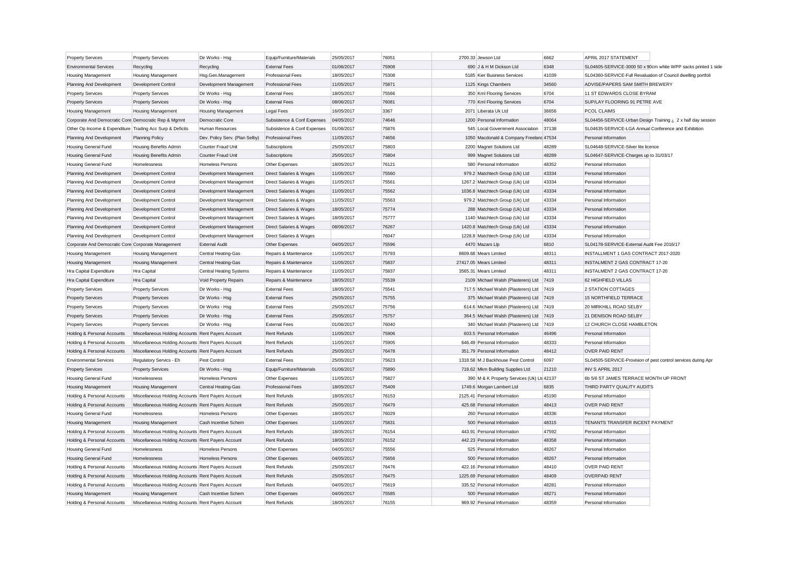| <b>Property Services</b>                                  | <b>Property Services</b>                           | Dir Works - Hsg                | Equip/Furniture/Materials   | 25/05/2017 | 76051 | 2700.33 Jewson Ltd                         | 6662  | APRIL 2017 STATEMENT                                          |                                                               |
|-----------------------------------------------------------|----------------------------------------------------|--------------------------------|-----------------------------|------------|-------|--------------------------------------------|-------|---------------------------------------------------------------|---------------------------------------------------------------|
| <b>Environmental Services</b>                             | Recycling                                          | Recycling                      | <b>External Fees</b>        | 01/06/2017 | 75908 | 690 J & H M Dickson Ltd                    | 6348  |                                                               | SL04605-SERVICE-3000 50 x 90cm white WPP sacks printed 1 side |
| <b>Housing Management</b>                                 | <b>Housing Management</b>                          | Hsg.Gen.Management             | <b>Professional Fees</b>    | 18/05/2017 | 75308 | 5185 Kier Business Services                | 41039 | SL04360-SERVICE-Full Revaluation of Council dwelling portfoli |                                                               |
| Planning And Development                                  | Development Control                                | Development Management         | <b>Professional Fees</b>    | 11/05/2017 | 75871 | 1125 Kings Chambers                        | 34560 | ADVISE/PAPERS SAM SMITH BREWERY                               |                                                               |
| <b>Property Services</b>                                  | <b>Property Services</b>                           | Dir Works - Hsg                | <b>External Fees</b>        | 18/05/2017 | 75566 | 350 Kml Flooring Services                  | 6704  | 11 ST EDWARDS CLOSE BYRAM                                     |                                                               |
| <b>Property Services</b>                                  | <b>Property Services</b>                           | Dir Works - Hsg                | <b>External Fees</b>        | 08/06/2017 | 76081 | 770 Kml Flooring Services                  | 6704  | SUP/LAY FLOORING 91 PETRE AVE                                 |                                                               |
| <b>Housing Management</b>                                 | <b>Housing Management</b>                          | <b>Housing Management</b>      | <b>Legal Fees</b>           | 16/05/2017 | 3367  | 2071 Liberata Uk Ltd                       | 36656 | PCOL CLAIMS                                                   |                                                               |
| Corporate And Democratic Core Democratic Rep & Mgmnt      |                                                    | Democratic Core                | Subsistence & Conf Expenses | 04/05/2017 | 74646 | 1200 Personal Information                  | 48064 | SL04456-SERVICE-Urban Design Training ¿ 2 x half day session  |                                                               |
| Other Op Income & Expenditure Trading Acc Surp & Deficits |                                                    | <b>Human Resources</b>         | Subsistence & Conf Expenses | 01/06/2017 | 75876 | 545 Local Government Association           | 37138 | SL04635-SERVICE-LGA Annual Conference and Exhibition          |                                                               |
| Planning And Development                                  | <b>Planning Policy</b>                             | Dev. Policy Serv. (Plan Selby) | <b>Professional Fees</b>    | 11/05/2017 | 74656 | 1050 Macdonald & Company Freeland 47534    |       | Personal Information                                          |                                                               |
| <b>Housing General Fund</b>                               | <b>Housing Benefits Admin</b>                      | Counter Fraud Unit             | Subscriptions               | 25/05/2017 | 75803 | 2200 Magnet Solutions Ltd                  | 48289 | SL04648-SERVICE-Silver lite licence                           |                                                               |
| <b>Housing General Fund</b>                               | <b>Housing Benefits Admin</b>                      | Counter Fraud Unit             | Subscriptions               | 25/05/2017 | 75804 | 999 Magnet Solutions Ltd                   | 48289 | SL04647-SERVICE-Charges up to 31/03/17                        |                                                               |
| <b>Housing General Fund</b>                               | Homelessness                                       | Homeless Persons               | Other Expenses              | 18/05/2017 | 76121 | 580 Personal Information                   | 48352 | Personal Information                                          |                                                               |
| Planning And Development                                  | <b>Development Control</b>                         | Development Management         | Direct Salaries & Wages     | 11/05/2017 | 75560 | 979.2 Matchtech Group (Uk) Ltd             | 43334 | Personal Information                                          |                                                               |
| Planning And Development                                  | <b>Development Control</b>                         | Development Management         | Direct Salaries & Wages     | 11/05/2017 | 75561 | 1267.2 Matchtech Group (Uk) Ltd            | 43334 | Personal Information                                          |                                                               |
| Planning And Development                                  | Development Control                                | Development Management         | Direct Salaries & Wages     | 11/05/2017 | 75562 | 1036.8 Matchtech Group (Uk) Ltd            | 43334 | Personal Information                                          |                                                               |
| Planning And Development                                  | <b>Development Control</b>                         | Development Management         | Direct Salaries & Wages     | 11/05/2017 | 75563 | 979.2 Matchtech Group (Uk) Ltd             | 43334 | Personal Information                                          |                                                               |
| Planning And Development                                  | <b>Development Control</b>                         | Development Management         | Direct Salaries & Wages     | 18/05/2017 | 75774 | 288 Matchtech Group (Uk) Ltd               | 43334 | Personal Information                                          |                                                               |
| Planning And Development                                  | Development Control                                | Development Management         | Direct Salaries & Wages     | 18/05/2017 | 75777 | 1140 Matchtech Group (Uk) Ltd              | 43334 | Personal Information                                          |                                                               |
| Planning And Development                                  | <b>Development Control</b>                         | Development Management         | Direct Salaries & Wages     | 08/06/2017 | 76267 | 1420.8 Matchtech Group (Uk) Ltd            | 43334 | Personal Information                                          |                                                               |
| Planning And Development                                  | Development Control                                | Development Management         | Direct Salaries & Wages     |            | 76047 | 1228.8 Matchtech Group (Uk) Ltd            | 43334 | Personal Information                                          |                                                               |
| Corporate And Democratic Core Corporate Management        |                                                    | <b>External Audit</b>          | Other Expenses              | 04/05/2017 | 75596 | 4470 Mazars Llp                            | 6810  | SL04178-SERVICE-External Audit Fee 2016/17                    |                                                               |
| Housing Management                                        | <b>Housing Management</b>                          | Central Heating-Gas            | Repairs & Maintenance       | 11/05/2017 | 75793 | 8609.68 Mears Limited                      | 48311 | INSTALLMENT 1 GAS CONTRACT 2017-2020                          |                                                               |
| <b>Housing Management</b>                                 | <b>Housing Management</b>                          | Central Heating-Gas            | Repairs & Maintenance       | 11/05/2017 | 75837 | 27417.05 Mears Limited                     | 48311 | <b>INSTALMENT 2 GAS CONTRACT 17-20</b>                        |                                                               |
| Hra Capital Expenditure                                   | Hra Capital                                        | <b>Central Heating Systems</b> | Repairs & Maintenance       | 11/05/2017 | 75837 | 3565.31 Mears Limited                      | 48311 | INSTALMENT 2 GAS CONTRACT 17-20                               |                                                               |
| Hra Capital Expenditure                                   | Hra Capital                                        | Void Property Repairs          | Repairs & Maintenance       | 18/05/2017 | 75539 | 2109 Michael Walsh (Plasterers) Ltd        | 7419  | 62 HIGHFIELD VILLAS                                           |                                                               |
| <b>Property Services</b>                                  | <b>Property Services</b>                           | Dir Works - Hsg                | <b>External Fees</b>        | 18/05/2017 | 75541 | 717.5 Michael Walsh (Plasterers) Ltd       | 7419  | 2 STATION COTTAGES                                            |                                                               |
| <b>Property Services</b>                                  | <b>Property Services</b>                           | Dir Works - Hsg                | <b>External Fees</b>        | 25/05/2017 | 75755 | 375 Michael Walsh (Plasterers) Ltd         | 7419  | 15 NORTHFIELD TERRACE                                         |                                                               |
| <b>Property Services</b>                                  | <b>Property Services</b>                           | Dir Works - Hsg                | <b>External Fees</b>        | 25/05/2017 | 75756 | 614.6 Michael Walsh (Plasterers) Ltd       | 7419  | 20 MIRKHILL ROAD SELBY                                        |                                                               |
| <b>Property Services</b>                                  | <b>Property Services</b>                           | Dir Works - Hsg                | <b>External Fees</b>        | 25/05/2017 | 75757 | 364.5 Michael Walsh (Plasterers) Ltd       | 7419  | 21 DENISON ROAD SELBY                                         |                                                               |
| <b>Property Services</b>                                  | <b>Property Services</b>                           | Dir Works - Hsg                | <b>External Fees</b>        | 01/06/2017 | 76040 | 340 Michael Walsh (Plasterers) Ltd         | 7419  | 12 CHURCH CLOSE HAMBLETON                                     |                                                               |
| Holding & Personal Accounts                               | Miscellaneous Holding Accounts Rent Payers Account |                                | <b>Rent Refunds</b>         | 11/05/2017 | 75906 | 603.5 Personal Information                 | 46496 | Personal Information                                          |                                                               |
| Holding & Personal Accounts                               | Miscellaneous Holding Accounts Rent Payers Account |                                | <b>Rent Refunds</b>         | 11/05/2017 | 75905 | 646.49 Personal Information                | 48333 | Personal Information                                          |                                                               |
| Holding & Personal Accounts                               | Miscellaneous Holding Accounts Rent Payers Account |                                | <b>Rent Refunds</b>         | 25/05/2017 | 76478 | 351.79 Personal Information                | 48412 | <b>OVER PAID RENT</b>                                         |                                                               |
| <b>Environmental Services</b>                             | Regulatory Servics - Eh                            | Pest Control                   | <b>External Fees</b>        | 25/05/2017 | 75623 | 1318.58 M J Backhouse Pest Control         | 6097  | SL04505-SERVICE-Provision of pest control services during Apr |                                                               |
| <b>Property Services</b>                                  | <b>Property Services</b>                           | Dir Works - Hsg                | Equip/Furniture/Materials   | 01/06/2017 | 75890 | 718.62 Mkm Building Supplies Ltd           | 21210 | INV S APRIL 2017                                              |                                                               |
| <b>Housing General Fund</b>                               | Homelessness                                       | <b>Homeless Persons</b>        | Other Expenses              | 11/05/2017 | 75827 | 390 M & K Property Services (Uk) Ltd 42137 |       | 6b 5/6 ST JAMES TERRACE MONTH UP FRONT                        |                                                               |
| <b>Housing Management</b>                                 | <b>Housing Management</b>                          | <b>Central Heating-Gas</b>     | <b>Professional Fees</b>    | 18/05/2017 | 75409 | 1749.6 Morgan Lambert Ltd                  | 6835  | THIRD PARTY QUALITY AUDITS                                    |                                                               |
| Holding & Personal Accounts                               | Miscellaneous Holding Accounts Rent Payers Account |                                | Rent Refunds                | 18/05/2017 | 76153 | 2125.41 Personal Information               | 45190 | Personal Information                                          |                                                               |
| Holding & Personal Accounts                               | Miscellaneous Holding Accounts Rent Payers Account |                                | <b>Rent Refunds</b>         | 25/05/2017 | 76479 | 425.68 Personal Information                | 48413 | <b>OVER PAID RENT</b>                                         |                                                               |
| <b>Housing General Fund</b>                               | Homelessness                                       | Homeless Persons               | Other Expenses              | 18/05/2017 | 76029 | 260 Personal Information                   | 48336 | Personal Information                                          |                                                               |
| <b>Housing Management</b>                                 | <b>Housing Management</b>                          | Cash Incentive Schem           | Other Expenses              | 11/05/2017 | 75831 | 500 Personal Information                   | 48315 | TENANTS TRANSFER INCENT PAYMENT                               |                                                               |
| Holding & Personal Accounts                               | Miscellaneous Holding Accounts Rent Payers Account |                                | Rent Refunds                | 18/05/2017 | 76154 | 443.91 Personal Information                | 47592 | Personal Information                                          |                                                               |
| Holding & Personal Accounts                               | Miscellaneous Holding Accounts Rent Payers Account |                                | <b>Rent Refunds</b>         | 18/05/2017 | 76152 | 442.23 Personal Information                | 48358 | Personal Information                                          |                                                               |
| Housing General Fund                                      | Homelessness                                       | Homeless Persons               | Other Expenses              | 04/05/2017 | 75556 | 525 Personal Information                   | 48267 | Personal Information                                          |                                                               |
| <b>Housing General Fund</b>                               | Homelessness                                       | Homeless Persons               | Other Expenses              | 04/05/2017 | 75656 | 500 Personal Information                   | 48267 | Personal Information                                          |                                                               |
| Holding & Personal Accounts                               | Miscellaneous Holding Accounts Rent Payers Account |                                | <b>Rent Refunds</b>         | 25/05/2017 | 76476 | 422.16 Personal Information                | 48410 | <b>OVER PAID RENT</b>                                         |                                                               |
| Holding & Personal Accounts                               | Miscellaneous Holding Accounts Rent Payers Account |                                | Rent Refunds                | 25/05/2017 | 76475 | 1225.69 Personal Information               | 48409 | <b>OVERPAID RENT</b>                                          |                                                               |
| Holding & Personal Accounts                               | Miscellaneous Holding Accounts Rent Payers Account |                                | <b>Rent Refunds</b>         | 04/05/2017 | 75619 | 335.52 Personal Information                | 48281 | Personal Information                                          |                                                               |
| <b>Housing Management</b>                                 | <b>Housing Management</b>                          | Cash Incentive Schem           | Other Expenses              | 04/05/2017 | 75585 | 500 Personal Information                   | 48271 | Personal Information                                          |                                                               |
| Holding & Personal Accounts                               | Miscellaneous Holding Accounts Rent Payers Account |                                | <b>Rent Refunds</b>         | 18/05/2017 | 76155 | 969.92 Personal Information                | 48359 | Personal Information                                          |                                                               |
|                                                           |                                                    |                                |                             |            |       |                                            |       |                                                               |                                                               |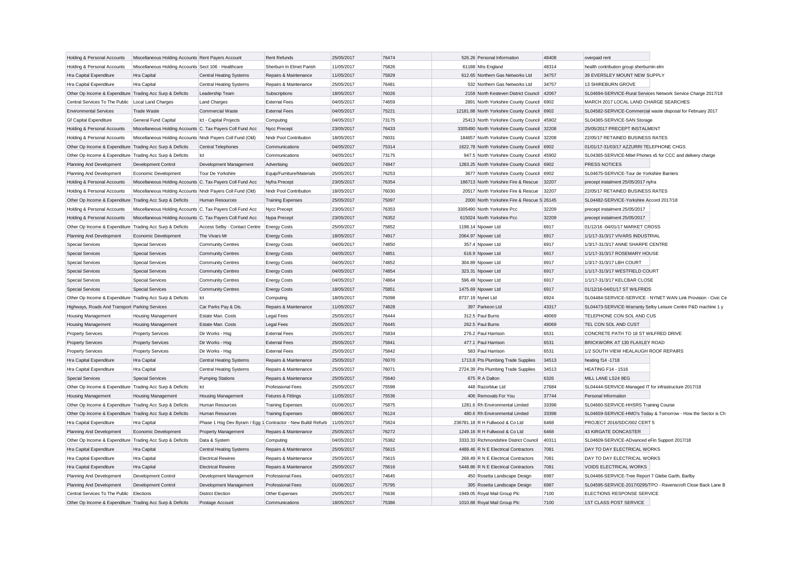| Holding & Personal Accounts                               | Miscellaneous Holding Accounts Rent Payers Account         |                                                              | <b>Rent Refunds</b>       | 25/05/2017 | 76474 | 526.26 Personal Information                  | 48408 | overpaid rent                                                 |
|-----------------------------------------------------------|------------------------------------------------------------|--------------------------------------------------------------|---------------------------|------------|-------|----------------------------------------------|-------|---------------------------------------------------------------|
| Holding & Personal Accounts                               | Miscellaneous Holding Accounts Sect 106 - Healthcare       |                                                              | Sherburn In Elmet Parish  | 11/05/2017 | 75826 | 61188 Nhs England                            | 48314 | health contribution group sherburnin elm                      |
| Hra Capital Expenditure                                   | Hra Capital                                                | <b>Central Heating Systems</b>                               | Repairs & Maintenance     | 11/05/2017 | 75829 | 612.65 Northern Gas Networks Ltd             | 34757 | 39 EVERSLEY MOUNT NEW SUPPLY                                  |
| Hra Capital Expenditure                                   | <b>Hra Capital</b>                                         | Central Heating Systems                                      | Repairs & Maintenance     | 25/05/2017 | 76481 | 532 Northern Gas Networks Ltd                | 34757 | 13 SHIREBURN GROVE                                            |
| Other Op Income & Expenditure Trading Acc Surp & Deficits |                                                            | Leadership Team                                              | Subscriptions             | 18/05/2017 | 76026 | 2158 North Kesteven District Council 42067   |       | SL04694-SERVICE-Rural Services Network Service Charge 2017/18 |
| Central Services To The Public                            | Local Land Charges                                         | <b>Land Charges</b>                                          | <b>External Fees</b>      | 04/05/2017 | 74659 | 2891 North Yorkshire County Council 6902     |       | MARCH 2017 LOCAL LAND CHARGE SEARCHES                         |
| <b>Environmental Services</b>                             | <b>Trade Waste</b>                                         | <b>Commercial Waste</b>                                      | <b>External Fees</b>      | 04/05/2017 | 75221 | 12181.88 North Yorkshire County Council 6902 |       | SL04582-SERVICE-Commercial waste disposal for February 2017   |
| <b>Gf Capital Expenditure</b>                             | General Fund Capital                                       | Ict - Capital Projects                                       | Computing                 | 04/05/2017 | 73175 | 25413 North Yorkshire County Council 45902   |       | SL04365-SERVICE-SAN Storage                                   |
| Holding & Personal Accounts                               | Miscellaneous Holding Accounts C. Tax Payers Coll Fund Acc |                                                              | Nycc Precept              | 23/05/2017 | 76433 | 3305490 North Yorkshire County Council 32208 |       | 25/05/2017 PRECEPT INSTALMENT                                 |
| Holding & Personal Accounts                               | Miscellaneous Holding Accounts Nndr Payers Coll Fund (Old) |                                                              | Nndr Pool Contribution    | 18/05/2017 | 76031 | 184657 North Yorkshire County Council 32208  |       | 22/05/17 RETAINED BUSINESS RATES                              |
| Other Op Income & Expenditure Trading Acc Surp & Deficits |                                                            | Central Telephones                                           | Communications            | 04/05/2017 | 75314 | 1622.78 North Yorkshire County Council 6902  |       | 01/01/17-31/03/17 AZZURRI TELEPHONE CHGS                      |
| Other Op Income & Expenditure Trading Acc Surp & Deficits |                                                            | Ict                                                          | Communications            | 04/05/2017 | 73175 | 947.5 North Yorkshire County Council 45902   |       | SL04365-SERVICE-Mitel Phones x5 for CCC and delivery charge   |
| Planning And Development                                  | Development Control                                        | Development Management                                       | Advertising               | 04/05/2017 | 74947 | 1283.25 North Yorkshire County Council 6902  |       | PRESS NOTICES                                                 |
| Planning And Development                                  | Economic Development                                       | Tour De Yorkshire                                            | Equip/Furniture/Materials | 25/05/2017 | 76253 | 3677 North Yorkshire County Council 6902     |       | SL04675-SERVICE-Tour de Yorkshire Barriers                    |
| Holding & Personal Accounts                               | Miscellaneous Holding Accounts C. Tax Payers Coll Fund Acc |                                                              | Nyfra Precept             | 23/05/2017 | 76354 | 186713 North Yorkshire Fire & Rescue         | 32207 | precept instalment 25/05/2017 nyfra                           |
| Holding & Personal Accounts                               | Miscellaneous Holding Accounts Nndr Payers Coll Fund (Old) |                                                              | Nndr Pool Contribution    | 18/05/2017 | 76030 | 20517 North Yorkshire Fire & Rescue          | 32207 | 22/05/17 RETAINED BUSINESS RATES                              |
| Other Op Income & Expenditure Trading Acc Surp & Deficits |                                                            | Human Resources                                              | <b>Training Expenses</b>  | 25/05/2017 | 75097 | 2000 North Yorkshire Fire & Rescue S 26145   |       | SL04482-SERVICE-Yorkshire Accord 2017/18                      |
| Holding & Personal Accounts                               | Miscellaneous Holding Accounts C. Tax Payers Coll Fund Acc |                                                              | Nycc Precept              | 23/05/2017 | 76353 | 3305490 North Yorkshire Pcc                  | 32209 | precept instalment 25/05/2017                                 |
| Holding & Personal Accounts                               | Miscellaneous Holding Accounts C. Tax Payers Coll Fund Acc |                                                              | Nypa Precept              | 23/05/2017 | 76352 | 615024 North Yorkshire Pcc                   | 32209 | precept instalment 25/05/2017                                 |
| Other Op Income & Expenditure Trading Acc Surp & Deficits |                                                            | Access Selby - Contact Centre                                | <b>Energy Costs</b>       | 25/05/2017 | 75852 | 1198.14 Npower Ltd                           | 6917  | 01/12/16 -04/01/17 MARKET CROSS                               |
| Planning And Development                                  | Economic Development                                       | The Vivars Mr                                                | <b>Energy Costs</b>       | 18/05/2017 | 74917 | 2064.97 Npower Ltd                           | 6917  | 1/1/17-31/3/17 VIVARS INDUSTRIAL                              |
| <b>Special Services</b>                                   | <b>Special Services</b>                                    | Community Centres                                            | <b>Energy Costs</b>       | 04/05/2017 | 74850 | 357.4 Npower Ltd                             | 6917  | 1/3/17-31/3/17 ANNE SHARPE CENTRE                             |
| <b>Special Services</b>                                   | <b>Special Services</b>                                    | <b>Community Centres</b>                                     | <b>Energy Costs</b>       | 04/05/2017 | 74851 | 616.9 Npower Ltd                             | 6917  | 1/1/17-31/3/17 ROSEMARY HOUSE                                 |
| <b>Special Services</b>                                   | <b>Special Services</b>                                    | <b>Community Centres</b>                                     | <b>Energy Costs</b>       | 04/05/2017 | 74852 | 304.89 Npower Ltd                            | 6917  | 1/3/17-31/3/17 LBH COURT                                      |
| <b>Special Services</b>                                   | <b>Special Services</b>                                    | <b>Community Centres</b>                                     | <b>Energy Costs</b>       | 04/05/2017 | 74854 | 323.31 Npower Ltd                            | 6917  | 1/1/17-31/3/17 WESTFIELD COURT                                |
| <b>Special Services</b>                                   | <b>Special Services</b>                                    | <b>Community Centres</b>                                     | <b>Energy Costs</b>       | 04/05/2017 | 74864 | 596.49 Npower Ltd                            | 6917  | 1/1/17-31/3/17 KELCBAR CLOSE                                  |
| <b>Special Services</b>                                   | <b>Special Services</b>                                    | <b>Community Centres</b>                                     | <b>Energy Costs</b>       | 18/05/2017 | 75851 | 1475.69 Npower Ltd                           | 6917  | 01/12/16-04/01/17 ST WILFRIDS                                 |
| Other Op Income & Expenditure Trading Acc Surp & Deficits |                                                            | Ict                                                          | Computing                 | 18/05/2017 | 75098 | 8737.19 Nynet Ltd                            | 6924  | SL04484-SERVICE-SERVICE - NYNET WAN Link Provision - Civic Ce |
| Highways, Roads And Transport Parking Services            |                                                            | Car Parks Pay & Dis                                          | Repairs & Maintenance     | 11/05/2017 | 74828 | 397 Parkeon Ltd                              | 43317 | SL04473-SERVICE-Warranty Selby Leisure Centre P&D machine 1 y |
| Housing Management                                        | <b>Housing Management</b>                                  | Estate Man Costs                                             | Legal Fees                | 25/05/2017 | 76444 | 312.5 Paul Burns                             | 48069 | TELEPHONE CON SOL AND CUS                                     |
| <b>Housing Management</b>                                 | <b>Housing Management</b>                                  | Estate Man, Costs                                            | <b>Legal Fees</b>         | 25/05/2017 | 76445 | 262.5 Paul Burns                             | 48069 | TEL CON SOL AND CUST                                          |
| <b>Property Services</b>                                  | <b>Property Services</b>                                   | Dir Works - Hsg                                              | <b>External Fees</b>      | 25/05/2017 | 75834 | 276.2 Paul Harrison                          | 6531  | CONCRETE PATH TO 18 ST WILFRED DRIVE                          |
| <b>Property Services</b>                                  | <b>Property Services</b>                                   | Dir Works - Hsg                                              | <b>External Fees</b>      | 25/05/2017 | 75841 | 477.1 Paul Harrison                          | 6531  | BRICKWORK AT 130 FLAXLEY ROAD                                 |
| <b>Property Services</b>                                  | <b>Property Services</b>                                   | Dir Works - Hsg                                              | <b>External Fees</b>      | 25/05/2017 | 75842 | 583 Paul Harrison                            | 6531  | 1/2 SOUTH VIEW HEALAUGH ROOF REPAIRS                          |
| Hra Capital Expenditure                                   | Hra Capital                                                | Central Heating Systems                                      | Repairs & Maintenance     | 25/05/2017 | 76070 | 1713.8 Pts Plumbing Trade Supplies           | 34513 | heating f14 -1718                                             |
| Hra Capital Expenditure                                   | Hra Capital                                                | Central Heating Systems                                      | Repairs & Maintenance     | 25/05/2017 | 76071 | 2724.39 Pts Plumbing Trade Supplies          | 34513 | <b>HEATING F14 - 1516</b>                                     |
| <b>Special Services</b>                                   | <b>Special Services</b>                                    | <b>Pumping Stations</b>                                      | Repairs & Maintenance     | 25/05/2017 | 75640 | 675 R A Dalton                               | 6326  | MILL LANE LS24 9EG                                            |
| Other Op Income & Expenditure Trading Acc Surp & Deficits |                                                            | Ict                                                          | <b>Professional Fees</b>  | 25/05/2017 | 75598 | 448 Razorblue Ltd                            | 27684 | SL04444-SERVICE-Managed IT for infrastructure 2017/18         |
| <b>Housing Management</b>                                 | <b>Housing Management</b>                                  | <b>Housing Management</b>                                    | Fixtures & Fittings       | 11/05/2017 | 75536 | 406 Removals For You                         | 37744 | Personal Information                                          |
| Other Op Income & Expenditure Trading Acc Surp & Deficits |                                                            | Human Resources                                              | <b>Training Expenses</b>  | 01/06/2017 | 75875 | 1281.6 Rh Environmental Limited              | 33398 | SL04660-SERVICE-HHSRS Training Course                         |
| Other Op Income & Expenditure Trading Acc Surp & Deficits |                                                            | Human Resources                                              | <b>Training Expenses</b>  | 08/06/2017 | 76124 | 480.6 Rh Environmental Limited               | 33398 | SL04659-SERVICE-HMO's Today & Tomorrow - How the Sector is Ch |
| Hra Capital Expenditure                                   | Hra Capital                                                | Phase 1 Hsg Dev Byram / Egg 1 Contractor - New Build/ Refurb |                           | 11/05/2017 | 75824 | 236781.18 R H Fullwood & Co Ltd              | 6468  | PROJECT 2016/SDC/002 CERT 5                                   |
| Planning And Development                                  | Economic Development                                       | <b>Property Management</b>                                   | Repairs & Maintenance     | 25/05/2017 | 76272 | 1249.16 R H Fullwood & Co Ltd                | 6468  | 43 KIRGATE DONCASTER                                          |
| Other Op Income & Expenditure Trading Acc Surp & Deficits |                                                            | Data & System                                                | Computing                 | 04/05/2017 | 75382 | 3333.33 Richmondshire District Council       | 40311 | SL04609-SERVICE-ADvanced eFin Support 2017/18                 |
| Hra Capital Expenditure                                   | Hra Capital                                                | <b>Central Heating Systems</b>                               | Repairs & Maintenance     | 25/05/2017 | 75615 | 4488.46 R N E Electrical Contractors         | 7081  | DAY TO DAY ELECTRICAL WORKS                                   |
| Hra Capital Expenditure                                   | Hra Capital                                                | <b>Electrical Rewires</b>                                    | Repairs & Maintenance     | 25/05/2017 | 75615 | 268.49 R N E Electrical Contractors          | 7081  | DAY TO DAY ELECTRICAL WORKS                                   |
| Hra Capital Expenditure                                   | Hra Capital                                                | <b>Electrical Rewires</b>                                    | Repairs & Maintenance     | 25/05/2017 | 75616 | 5448.86 R N E Electrical Contractors         | 7081  | <b>VOIDS ELECTRICAL WORKS</b>                                 |
| Planning And Development                                  | Development Control                                        | Development Management                                       | <b>Professional Fees</b>  | 04/05/2017 | 74645 | 450 Rosetta Landscape Design                 | 6987  | SL04466-SERVICE-Tree Report 7 Glebe Garth, Barlby             |
| Planning And Development                                  | Development Control                                        | Development Management                                       | <b>Professional Fees</b>  | 01/06/2017 | 75795 | 395 Rosetta Landscape Design                 | 6987  | SL04595-SERVICE-2017/0295/TPO - Ravenscroft Close Back Lane B |
| Central Services To The Public                            | Elections                                                  | <b>District Election</b>                                     | Other Expenses            | 25/05/2017 | 75636 | 1949.05 Royal Mail Group Plc                 | 7100  | ELECTIONS RESPONSE SERVICE                                    |
| Other Op Income & Expenditure Trading Acc Surp & Deficits |                                                            | Postage Account                                              | Communications            | 18/05/2017 | 75386 | 1010.88 Roval Mail Group Plc                 | 7100  | 1ST CLASS POST SERVICE                                        |
|                                                           |                                                            |                                                              |                           |            |       |                                              |       |                                                               |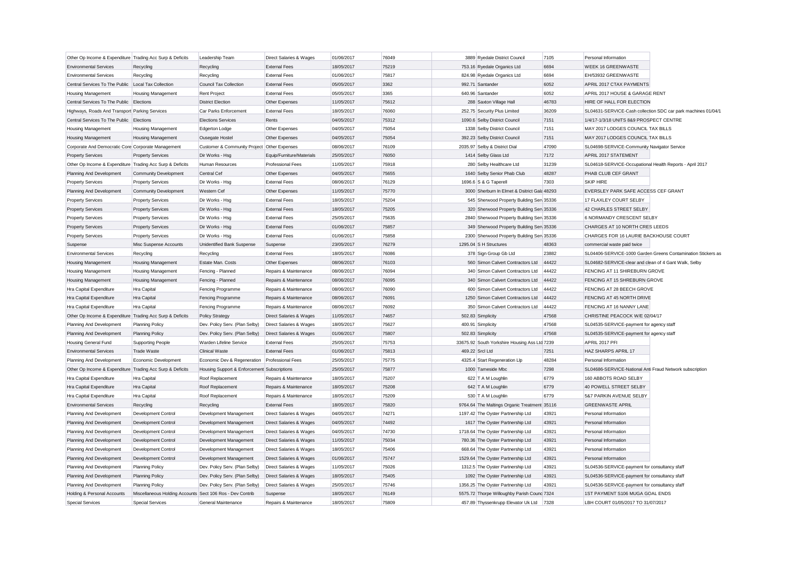| Other Op Income & Expenditure Trading Acc Surp & Deficits |                                                           | Leadership Team                               | Direct Salaries & Wages   | 01/06/2017 | 76049 | 3889 Ryedale District Council                 | 7105  | Personal Information                                     |                                                               |
|-----------------------------------------------------------|-----------------------------------------------------------|-----------------------------------------------|---------------------------|------------|-------|-----------------------------------------------|-------|----------------------------------------------------------|---------------------------------------------------------------|
| <b>Environmental Services</b>                             | Recycling                                                 | Recycling                                     | <b>External Fees</b>      | 18/05/2017 | 75219 | 753.16 Ryedale Organics Ltd                   | 6694  | <b>WEEK 16 GREENWASTE</b>                                |                                                               |
| <b>Environmental Services</b>                             | Recycling                                                 | Recycling                                     | <b>External Fees</b>      | 01/06/2017 | 75817 | 824.98 Ryedale Organics Ltd                   | 6694  | EH/53932 GREENWASTE                                      |                                                               |
| Central Services To The Public Local Tax Collection       |                                                           | <b>Council Tax Collection</b>                 | <b>External Fees</b>      | 05/05/2017 | 3362  | 992.71 Santander                              | 6052  | APRIL 2017 CTAX PAYMENTS                                 |                                                               |
| Housing Management                                        | Housing Management                                        | <b>Rent Project</b>                           | <b>External Fees</b>      | 05/05/2017 | 3365  | 640.96 Santander                              | 6052  | APRIL 2017 HOUSE & GARAGE RENT                           |                                                               |
| Central Services To The Public Elections                  |                                                           | <b>District Election</b>                      | Other Expenses            | 11/05/2017 | 75612 | 288 Saxton Village Hall                       | 46783 | HIRE OF HALL FOR ELECTION                                |                                                               |
| Highways, Roads And Transport Parking Services            |                                                           | Car Parks Enforcement                         | <b>External Fees</b>      | 18/05/2017 | 76060 | 252.75 Security Plus Limited                  | 36209 |                                                          | SL04631-SERVICE-Cash collection SDC car park machines 01/04/1 |
| Central Services To The Public Elections                  |                                                           | <b>Elections Services</b>                     | Rents                     | 04/05/2017 | 75312 | 1090.6 Selby District Council                 | 7151  | 1/4/17-1/3/18 UNITS 8&9 PROSPECT CENTRE                  |                                                               |
| <b>Housing Management</b>                                 | <b>Housing Management</b>                                 | Edgerton Lodge                                | Other Expenses            | 04/05/2017 | 75054 | 1338 Selby District Council                   | 7151  | MAY 2017 LODGES COUNCIL TAX BILLS                        |                                                               |
| Housing Management                                        | Housing Management                                        | Ousegate Hostel                               | Other Expenses            | 04/05/2017 | 75054 | 392.23 Selby District Council                 | 7151  | MAY 2017 LODGES COUNCIL TAX BILLS                        |                                                               |
| Corporate And Democratic Core Corporate Management        |                                                           | Customer & Community Project Other Expenses   |                           | 08/06/2017 | 76109 | 2035.97 Selby & District Dial                 | 47090 | SL04698-SERVICE-Community Navigator Service              |                                                               |
| <b>Property Services</b>                                  | <b>Property Services</b>                                  | Dir Works - Hsg                               | Equip/Furniture/Materials | 25/05/2017 | 76050 | 1414 Selby Glass Ltd                          | 7172  | APRIL 2017 STATEMENT                                     |                                                               |
| Other Op Income & Expenditure Trading Acc Surp & Deficits |                                                           | Human Resources                               | <b>Professional Fees</b>  | 11/05/2017 | 75918 | 280 Selby Healthcare Ltd                      | 31239 | SL04618-SERVICE-Occupational Health Reports - April 2017 |                                                               |
| Planning And Development                                  | <b>Community Development</b>                              | Central Cef                                   | Other Expenses            | 04/05/2017 | 75655 | 1640 Selby Senior Phab Club                   | 48287 | PHAB CLUB CEF GRANT                                      |                                                               |
| <b>Property Services</b>                                  | <b>Property Services</b>                                  | Dir Works - Hsg                               | <b>External Fees</b>      | 08/06/2017 | 76129 | 1696.6 S & G Taperell                         | 7303  | <b>SKIP HIRE</b>                                         |                                                               |
| Planning And Development                                  | <b>Community Development</b>                              | Western Cef                                   | Other Expenses            | 11/05/2017 | 75770 | 3000 Sherburn In Elmet & Dsitrict Gala 48293  |       | EVERSLEY PARK SAFE ACCESS CEF GRANT                      |                                                               |
| <b>Property Services</b>                                  | <b>Property Services</b>                                  | Dir Works - Hsg                               | <b>External Fees</b>      | 18/05/2017 | 75204 | 545 Sherwood Property Building Sen 35336      |       | 17 FLAXLEY COURT SELBY                                   |                                                               |
| <b>Property Services</b>                                  | <b>Property Services</b>                                  | Dir Works - Hsg                               | <b>External Fees</b>      | 18/05/2017 | 75205 | 320 Sherwood Property Building Sen 35336      |       | 42 CHARLES STREET SELBY                                  |                                                               |
| <b>Property Services</b>                                  | <b>Property Services</b>                                  | Dir Works - Hsg                               | <b>External Fees</b>      | 25/05/2017 | 75635 | 2840 Sherwood Property Building Serv 35336    |       | 6 NORMANDY CRESCENT SELBY                                |                                                               |
| <b>Property Services</b>                                  | <b>Property Services</b>                                  | Dir Works - Hsg                               | <b>External Fees</b>      | 01/06/2017 | 75857 | 349 Sherwood Property Building Sen 35336      |       | CHARGES AT 10 NORTH CRES LEEDS                           |                                                               |
| <b>Property Services</b>                                  | <b>Property Services</b>                                  | Dir Works - Hsg                               | <b>External Fees</b>      | 01/06/2017 | 75858 | 2300 Sherwood Property Building Serv 35336    |       | CHARGES FOR 16 LAURIE BACKHOUSE COURT                    |                                                               |
| Suspense                                                  | Misc Suspense Accounts                                    | Unidentified Bank Suspense                    | Suspense                  | 23/05/2017 | 76279 | 1295.04 S H Structures                        | 48363 | commercial waste paid twice                              |                                                               |
| <b>Environmental Services</b>                             | Recycling                                                 | Recycling                                     | <b>External Fees</b>      | 18/05/2017 | 76086 | 378 Sign Group Gb Ltd                         | 23882 |                                                          | SL04406-SERVICE-1000 Garden Greens Contamination Stickers as  |
| Housing Management                                        | Housing Management                                        | Estate Man. Costs                             | Other Expenses            | 08/06/2017 | 76103 | 560 Simon Calvert Contractors Ltd             | 44422 | SL04682-SERVICE-clear and clean of 4 Gant Walk, Selby    |                                                               |
| Housing Management                                        | <b>Housing Management</b>                                 | Fencing - Planned                             | Repairs & Maintenance     | 08/06/2017 | 76094 | 340 Simon Calvert Contractors Ltd             | 44422 | FENCING AT 11 SHIREBURN GROVE                            |                                                               |
| Housing Management                                        | Housing Management                                        | Fencing - Planned                             | Repairs & Maintenance     | 08/06/2017 | 76095 | 340 Simon Calvert Contractors Ltd             | 44422 | FENCING AT 15 SHREBURN GROVE                             |                                                               |
| Hra Capital Expenditure                                   | Hra Capital                                               | Fencing Programme                             | Repairs & Maintenance     | 08/06/2017 | 76090 | 600 Simon Calvert Contractors Ltd             | 44422 | FENCING AT 28 BEECH GROVE                                |                                                               |
| Hra Capital Expenditure                                   | Hra Capital                                               | Fencing Programme                             | Repairs & Maintenance     | 08/06/2017 | 76091 | 1250 Simon Calvert Contractors Ltd            | 44422 | FENCING AT 45 NORTH DRIVE                                |                                                               |
| Hra Capital Expenditure                                   | Hra Capital                                               | Fencing Programme                             | Repairs & Maintenance     | 08/06/2017 | 76092 | 350 Simon Calvert Contractors Ltd             | 44422 | FENCING AT 16 NANNY LANE                                 |                                                               |
| Other Op Income & Expenditure Trading Acc Surp & Deficits |                                                           | <b>Policy Strategy</b>                        | Direct Salaries & Wages   | 11/05/2017 | 74657 | 502.83 Simplicity                             | 47568 | CHRISTINE PEACOCK W/E 02/04/17                           |                                                               |
|                                                           |                                                           |                                               |                           | 18/05/2017 | 75627 | 400.91 Simplicity                             | 47568 | SL04535-SERVICE-payment for agency staff                 |                                                               |
| Planning And Development                                  | <b>Planning Policy</b>                                    | Dev. Policy Serv. (Plan Selby)                | Direct Salaries & Wages   |            |       |                                               |       |                                                          |                                                               |
| Planning And Development                                  | <b>Planning Policy</b>                                    | Dev. Policy Serv. (Plan Selby)                | Direct Salaries & Wages   | 01/06/2017 | 75807 | 502.83 Simplicity                             | 47568 | SL04535-SERVICE-payment for agency staff                 |                                                               |
| <b>Housing General Fund</b>                               | <b>Supporting People</b>                                  | Warden Lifeline Service                       | <b>External Fees</b>      | 25/05/2017 | 75753 | 33675.92 South Yorkshire Housing Ass Ltd 7239 |       | APRIL 2017 PFI                                           |                                                               |
| <b>Environmental Services</b>                             | <b>Trade Waste</b>                                        | <b>Clinical Waste</b>                         | <b>External Fees</b>      | 01/06/2017 | 75813 | 469.22 Srcl Ltd                               | 7251  | HAZ SHARPS APRIL 17                                      |                                                               |
| Planning And Development                                  | Economic Development                                      | Economic Dev & Regeneration Professional Fees |                           | 25/05/2017 | 75775 | 4325.4 Start Regeneration Llp                 | 48284 | Personal Information                                     |                                                               |
| Other Op Income & Expenditure Trading Acc Surp & Deficits |                                                           | Housing Support & Enforcement Subscriptions   |                           | 25/05/2017 | 75877 | 1000 Tameside Mbc                             | 7298  | SL04686-SERVICE-National Anti Fraud Network subscription |                                                               |
| Hra Capital Expenditure                                   | Hra Capital                                               | Roof Replacement                              | Repairs & Maintenance     | 18/05/2017 | 75207 | 622 T A M Loughlin                            | 6779  | 160 ABBOTS ROAD SELBY                                    |                                                               |
| Hra Capital Expenditure                                   | Hra Capital                                               | Roof Replacement                              | Repairs & Maintenance     | 18/05/2017 | 75208 | 642 T A M Loughlin                            | 6779  | 40 POWELL STREET SELBY                                   |                                                               |
| Hra Capital Expenditure                                   | Hra Capital                                               | Roof Replacement                              | Repairs & Maintenance     | 18/05/2017 | 75209 | 530 T A M Loughlin                            | 6779  | 5&7 PARKIN AVENUE SELBY                                  |                                                               |
| <b>Environmental Services</b>                             | Recycling                                                 | Recycling                                     | <b>External Fees</b>      | 18/05/2017 | 75820 | 9764.64 The Maltings Organic Treatment 35116  |       | <b>GREENWASTE APRIL</b>                                  |                                                               |
| Planning And Development                                  | Development Control                                       | Development Management                        | Direct Salaries & Wages   | 04/05/2017 | 74271 | 1197.42 The Oyster Partnership Ltd            | 43921 | Personal Information                                     |                                                               |
| Planning And Development                                  | Development Control                                       | Development Management                        | Direct Salaries & Wages   | 04/05/2017 | 74492 | 1617 The Oyster Partnership Ltd               | 43921 | Personal Information                                     |                                                               |
| Planning And Development                                  | Development Control                                       | Development Management                        | Direct Salaries & Wages   | 04/05/2017 | 74730 | 1718.64 The Oyster Partnership Ltd            | 43921 | Personal Information                                     |                                                               |
| Planning And Development                                  | <b>Development Control</b>                                | Development Management                        | Direct Salaries & Wages   | 11/05/2017 | 75034 | 780.36 The Oyster Partnership Ltd             | 43921 | Personal Information                                     |                                                               |
| Planning And Development                                  | Development Control                                       | Development Management                        | Direct Salaries & Wages   | 18/05/2017 | 75406 | 668.64 The Oyster Partnership Ltd             | 43921 | Personal Information                                     |                                                               |
| Planning And Development                                  | <b>Development Control</b>                                | Development Management                        | Direct Salaries & Wages   | 01/06/2017 | 75747 | 1529.64 The Oyster Partnership Ltd            | 43921 | Personal Information                                     |                                                               |
| Planning And Development                                  | <b>Planning Policy</b>                                    | Dev. Policy Serv. (Plan Selby)                | Direct Salaries & Wages   | 11/05/2017 | 75026 | 1312.5 The Oyster Partnership Ltd             | 43921 | SL04536-SERVICE-payment for consultancy sfaff            |                                                               |
| Planning And Development                                  | <b>Planning Policy</b>                                    | Dev. Policy Serv. (Plan Selby)                | Direct Salaries & Wages   | 18/05/2017 | 75405 | 1092 The Oyster Partnership Ltd               | 43921 | SL04536-SERVICE-payment for consultancy sfaff            |                                                               |
| Planning And Development                                  | <b>Planning Policy</b>                                    | Dev. Policy Serv. (Plan Selby)                | Direct Salaries & Wages   | 25/05/2017 | 75746 | 1356.25 The Oyster Partnership Ltd            | 43921 | SL04536-SERVICE-payment for consultancy sfaff            |                                                               |
| Holding & Personal Accounts                               | Miscellaneous Holding Accounts Sect 106 Ros - Dev Contrib |                                               | Suspense                  | 18/05/2017 | 76149 | 5575.72 Thorpe Willoughby Parish Counc 7324   |       | 1ST PAYMENT S106 MUGA GOAL ENDS                          |                                                               |
| Special Services                                          | <b>Special Services</b>                                   | General Maintenance                           | Repairs & Maintenance     | 18/05/2017 | 75809 | 457.89 Thyssenkrupp Elevator Uk Ltd           | 7328  | LBH COURT 01/05/2017 TO 31/07/2017                       |                                                               |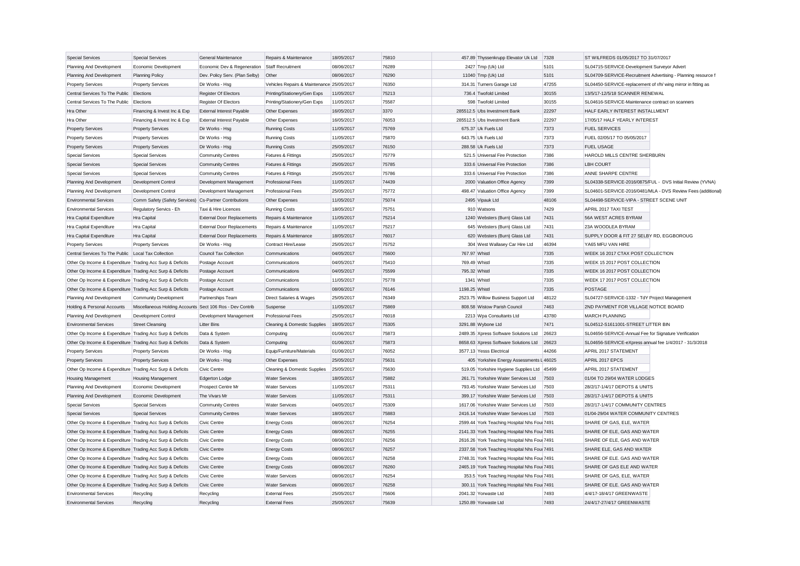| <b>Special Services</b>                                                                    | <b>Special Services</b>                                   | General Maintenance                  | Repairs & Maintenance                     | 18/05/2017               | 75810          |                | 457.89 Thyssenkrupp Elevator Uk Ltd                         | 7328           | ST WILFREDS 01/05/2017 TO 31/07/2017                                            |                                                              |
|--------------------------------------------------------------------------------------------|-----------------------------------------------------------|--------------------------------------|-------------------------------------------|--------------------------|----------------|----------------|-------------------------------------------------------------|----------------|---------------------------------------------------------------------------------|--------------------------------------------------------------|
| Planning And Development                                                                   | Economic Development                                      | Economic Dev & Regeneration          | Staff Recruitment                         | 08/06/2017               | 76289          |                | 2427 Tmp (Uk) Ltd                                           | 5101           | SL04715-SERVICE-Development Surveyor Advert                                     |                                                              |
| Planning And Development                                                                   | <b>Planning Policy</b>                                    | Dev. Policy Serv. (Plan Selby)       | Other                                     | 08/06/2017               | 76290          |                | 11040 Tmp (Uk) Ltd                                          | 5101           | SL04709-SERVICE-Recruitment Advertising - Planning resource f                   |                                                              |
| <b>Property Services</b>                                                                   | <b>Property Services</b>                                  | Dir Works - Hsg                      | Vehicles Repairs & Maintenance 25/05/2017 |                          | 76350          |                | 314.31 Turners Garage Ltd                                   | 47255          | SL04450-SERVICE-replacement of r/h/ wing mirror in fitting as                   |                                                              |
| Central Services To The Public Elections                                                   |                                                           | Register Of Electors                 | Printing/Stationery/Gen Exps              | 11/05/2017               | 75213          |                | 736.4 Twofold Limited                                       | 30155          | 13/5/17-12/5/18 SCANNER RENEWAL                                                 |                                                              |
| Central Services To The Public Elections                                                   |                                                           | Register Of Electors                 | Printing/Stationery/Gen Exps              | 11/05/2017               | 75587          |                | 598 Twofold Limited                                         | 30155          | SL04616-SERVICE-Maintenance contract on scanners                                |                                                              |
| Hra Other                                                                                  | Financing & Invest Inc & Exp                              | <b>External Interest Payable</b>     | Other Expenses                            | 16/05/2017               | 3370           |                | 285512.5 Ubs Investment Bank                                | 22297          | HALF EARLY INTEREST INSTALLMENT                                                 |                                                              |
| Hra Other                                                                                  | Financing & Invest Inc & Exp                              | <b>External Interest Payable</b>     | Other Expenses                            | 16/05/2017               | 76053          |                | 285512.5 Ubs Investment Bank                                | 22297          | 17/05/17 HALF YEARLY INTEREST                                                   |                                                              |
| <b>Property Services</b>                                                                   | <b>Property Services</b>                                  | Dir Works - Hsg                      | <b>Running Costs</b>                      | 11/05/2017               | 75769          |                | 675.37 Uk Fuels Ltd                                         | 7373           | <b>FUEL SERVICES</b>                                                            |                                                              |
| <b>Property Services</b>                                                                   | <b>Property Services</b>                                  | Dir Works - Hsg                      | <b>Running Costs</b>                      | 11/05/2017               | 75870          |                | 643.75 Uk Fuels Ltd                                         | 7373           | FUEL 02/05/17 TO 05/05/2017                                                     |                                                              |
| <b>Property Services</b>                                                                   | <b>Property Services</b>                                  | Dir Works - Hsg                      | <b>Running Costs</b>                      | 25/05/2017               | 76150          |                | 288.58 Uk Fuels Ltd                                         | 7373           | <b>FUEL USAGE</b>                                                               |                                                              |
| <b>Special Services</b>                                                                    | <b>Special Services</b>                                   | <b>Community Centres</b>             | <b>Fixtures &amp; Fittings</b>            | 25/05/2017               | 75779          |                | 521.5 Universal Fire Protection                             | 7386           | HAROLD MILLS CENTRE SHERBURN                                                    |                                                              |
| <b>Special Services</b>                                                                    | <b>Special Services</b>                                   | <b>Community Centres</b>             | Fixtures & Fittings                       | 25/05/2017               | 75785          |                | 333.6 Universal Fire Protection                             | 7386           | <b>LBH COURT</b>                                                                |                                                              |
| <b>Special Services</b>                                                                    | <b>Special Services</b>                                   | <b>Community Centres</b>             | Fixtures & Fittings                       | 25/05/2017               | 75786          |                | 333.6 Universal Fire Protection                             | 7386           | ANNE SHARPE CENTRE                                                              |                                                              |
| Planning And Development                                                                   | Development Control                                       | Development Management               | <b>Professional Fees</b>                  | 11/05/2017               | 74439          |                | 2000 Valuation Office Agency                                | 7399           | SL04338-SERVICE-2016/0875/FUL - DVS Initial Review (YVNA)                       |                                                              |
| Planning And Development                                                                   | Development Control                                       | Development Management               | <b>Professional Fees</b>                  | 25/05/2017               | 75772          |                | 498.47 Valuation Office Agency                              | 7399           |                                                                                 | SL04601-SERVICE-2016/0481/MLA - DVS Review Fees (additional) |
| <b>Environmental Services</b>                                                              | Comm Safety (Safety Services) Cs-Partner Contributions    |                                      | Other Expenses                            | 11/05/2017               | 75074          |                | 2495 Vipauk Ltd                                             | 48106          | SL04498-SERVICE-VIPA - STREET SCENE UNIT                                        |                                                              |
| <b>Environmental Services</b>                                                              | Regulatory Servics - Eh                                   | Taxi & Hire Licences                 | <b>Running Costs</b>                      | 18/05/2017               | 75751          |                | 910 Watsons                                                 | 7429           | APRIL 2017 TAXI TEST                                                            |                                                              |
| Hra Capital Expenditure                                                                    | Hra Capital                                               | <b>External Door Replacements</b>    | Repairs & Maintenance                     | 11/05/2017               | 75214          |                | 1240 Websters (Burn) Glass Ltd                              | 7431           | 56A WEST ACRES BYRAM                                                            |                                                              |
| Hra Capital Expenditure                                                                    | Hra Capital                                               | <b>External Door Replacements</b>    | Repairs & Maintenance                     | 11/05/2017               | 75217          |                | 645 Websters (Burn) Glass Ltd                               | 7431           | 23A WOODLEA BYRAM                                                               |                                                              |
| Hra Capital Expenditure                                                                    | Hra Capital                                               | <b>External Door Replacements</b>    | Repairs & Maintenance                     | 18/05/2017               | 76017          |                | 620 Websters (Burn) Glass Ltd                               | 7431           | SUPPLY DOOR & FIT 27 SELBY RD. EGGBOROUG                                        |                                                              |
| <b>Property Services</b>                                                                   | <b>Property Services</b>                                  | Dir Works - Hsg                      | Contract Hire/Lease                       | 25/05/2017               | 75752          |                | 304 West Wallasey Car Hire Ltd                              | 46394          | YA65 MFU VAN HIRE                                                               |                                                              |
| Central Services To The Public Local Tax Collection                                        |                                                           | <b>Council Tax Collection</b>        | Communications                            | 04/05/2017               | 75600          | 767.97 Whistl  |                                                             | 7335           | WEEK 16 2017 CTAX POST COLLECTION                                               |                                                              |
| Other Op Income & Expenditure Trading Acc Surp & Deficits                                  |                                                           | Postage Account                      | Communications                            | 04/05/2017               | 75410          | 769.49 Whistl  |                                                             | 7335           | WEEK 15 2017 POST COLLECTION                                                    |                                                              |
| Other Op Income & Expenditure Trading Acc Surp & Deficits                                  |                                                           | Postage Account                      | Communications                            | 04/05/2017               | 75599          | 795.32 Whistl  |                                                             | 7335           | WEEK 16 2017 POST COLLECTION                                                    |                                                              |
| Other Op Income & Expenditure Trading Acc Surp & Deficits                                  |                                                           | Postage Account                      | Communications                            | 11/05/2017               | 75778          |                | 1341 Whistl                                                 | 7335           | WEEK 17 2017 POST COLLECTION                                                    |                                                              |
| Other Op Income & Expenditure Trading Acc Surp & Deficits                                  |                                                           |                                      | Communications                            | 08/06/2017               | 76146          | 1198.25 Whistl |                                                             | 7335           | <b>POSTAGE</b>                                                                  |                                                              |
| Planning And Development                                                                   | <b>Community Development</b>                              | Postage Account<br>Partnerships Team | Direct Salaries & Wages                   | 25/05/2017               | 76349          |                | 2523.75 Willow Business Support Ltd                         | 48122          | SL04727-SERVICE-1332 - TdY Project Management                                   |                                                              |
| Holding & Personal Accounts                                                                | Miscellaneous Holding Accounts Sect 106 Ros - Dev Contrib |                                      | Suspense                                  | 11/05/2017               | 75869          |                | 808.58 Wistow Parish Council                                | 7463           | 2ND PAYMENT FOR VILLAGE NOTICE BOARD                                            |                                                              |
| Planning And Development                                                                   | Development Control                                       | Development Management               | <b>Professional Fees</b>                  | 25/05/2017               | 76018          |                | 2213 Wpa Consultants Ltd                                    | 43780          | <b>MARCH PLANNING</b>                                                           |                                                              |
|                                                                                            |                                                           |                                      |                                           |                          |                |                |                                                             |                |                                                                                 |                                                              |
| <b>Environmental Services</b><br>Other Op Income & Expenditure Trading Acc Surp & Deficits | <b>Street Cleansing</b>                                   | <b>Litter Bins</b>                   | Cleaning & Domestic Supplies              | 18/05/2017<br>01/06/2017 | 75305<br>75873 |                | 3291.88 Wybone Ltd<br>2489.35 Xpress Software Solutions Ltd | 7471<br>26623  | SL04512-S1611001-STREET LITTER BIN                                              |                                                              |
|                                                                                            |                                                           | Data & System                        | Computing                                 |                          |                |                |                                                             |                | SL04656-SERVICE-Annual Fee for Signature Verification                           |                                                              |
| Other Op Income & Expenditure Trading Acc Surp & Deficits                                  |                                                           | Data & System                        | Computing                                 | 01/06/2017               | 75873<br>76052 |                | 8658.63 Xpress Software Solutions Ltd                       | 26623<br>44266 | SL04656-SERVICE-eXpress annual fee 1/4/2017 - 31/3/2018<br>APRIL 2017 STATEMENT |                                                              |
| <b>Property Services</b>                                                                   | <b>Property Services</b>                                  | Dir Works - Hsg                      | Equip/Furniture/Materials                 | 01/06/2017               | 75631          |                | 3577.13 Yesss Electrical                                    |                | APRIL 2017 EPCS                                                                 |                                                              |
| <b>Property Services</b>                                                                   | <b>Property Services</b>                                  | Dir Works - Hsg                      | Other Expenses                            | 25/05/2017               |                |                | 405 Yorkshire Energy Assessments L 46025                    |                |                                                                                 |                                                              |
| Other Op Income & Expenditure Trading Acc Surp & Deficits                                  |                                                           | <b>Civic Centre</b>                  | Cleaning & Domestic Supplies              | 25/05/2017               | 75630          |                | 519.05 Yorkshire Hygiene Supplies Ltd                       | 45499          | APRIL 2017 STATEMENT                                                            |                                                              |
| <b>Housing Management</b>                                                                  | Housing Management                                        | Edgerton Lodge                       | <b>Water Services</b>                     | 18/05/2017               | 75882          |                | 261.71 Yorkshire Water Services Ltd                         | 7503           | 01/04 TO 29/04 WATER LODGES                                                     |                                                              |
| Planning And Development                                                                   | Economic Development                                      | Prospect Centre Mr                   | <b>Water Services</b>                     | 11/05/2017               | 75311          |                | 793.45 Yorkshire Water Services Ltd                         | 7503           | 28/2/17-1/4/17 DEPOTS & UNITS                                                   |                                                              |
| Planning And Development                                                                   | Economic Development                                      | The Vivars Mr                        | <b>Water Services</b>                     | 11/05/2017               | 75311          |                | 399.17 Yorkshire Water Services Ltd                         | 7503           | 28/2/17-1/4/17 DEPOTS & UNITS                                                   |                                                              |
| <b>Special Services</b>                                                                    | <b>Special Services</b>                                   | <b>Community Centres</b>             | <b>Water Services</b>                     | 04/05/2017               | 75309          |                | 1617.06 Yorkshire Water Services Ltd                        | 7503           | 28/2/17-1/4/17 COMMUNITY CENTRES                                                |                                                              |
| <b>Special Services</b>                                                                    | <b>Special Services</b>                                   | <b>Community Centres</b>             | <b>Water Services</b>                     | 18/05/2017               | 75883          |                | 2416.14 Yorkshire Water Services Ltd                        | 7503           | 01/04-29/04 WATER COMMUNITY CENTRES                                             |                                                              |
| Other Op Income & Expenditure Trading Acc Surp & Deficits                                  |                                                           | Civic Centre                         | <b>Energy Costs</b>                       | 08/06/2017               | 76254          |                | 2599.44 York Teaching Hospital Nhs Four 7491                |                | SHARE OF GAS, ELE, WATER                                                        |                                                              |
| Other Op Income & Expenditure Trading Acc Surp & Deficits                                  |                                                           | Civic Centre                         | <b>Energy Costs</b>                       | 08/06/2017               | 76255          |                | 2141.33 York Teaching Hospital Nhs Four 7491                |                | SHARE OF ELE, GAS AND WATER                                                     |                                                              |
| Other Op Income & Expenditure Trading Acc Surp & Deficits                                  |                                                           | Civic Centre                         | <b>Energy Costs</b>                       | 08/06/2017               | 76256          |                | 2616.26 York Teaching Hospital Nhs Four 7491                |                | SHARE OF ELE, GAS AND WATER                                                     |                                                              |
| Other Op Income & Expenditure Trading Acc Surp & Deficits                                  |                                                           | <b>Civic Centre</b>                  | <b>Energy Costs</b>                       | 08/06/2017               | 76257          |                | 2337.58 York Teaching Hospital Nhs Four 7491                |                | SHARE ELE, GAS AND WATER                                                        |                                                              |
| Other Op Income & Expenditure Trading Acc Surp & Deficits                                  |                                                           | Civic Centre                         | <b>Energy Costs</b>                       | 08/06/2017               | 76258          |                | 2748.31 York Teaching Hospital Nhs Foul 7491                |                | SHARE OF ELE. GAS AND WATER                                                     |                                                              |
| Other Op Income & Expenditure Trading Acc Surp & Deficits                                  |                                                           | <b>Civic Centre</b>                  | <b>Energy Costs</b>                       | 08/06/2017               | 76260          |                | 2465.19 York Teaching Hospital Nhs Four 7491                |                | SHARE OF GAS ELE AND WATER                                                      |                                                              |
| Other Op Income & Expenditure Trading Acc Surp & Deficits                                  |                                                           | Civic Centre                         | <b>Water Services</b>                     | 08/06/2017               | 76254          |                | 353.5 York Teaching Hospital Nhs Four 7491                  |                | SHARE OF GAS, ELE, WATER                                                        |                                                              |
| Other Op Income & Expenditure Trading Acc Surp & Deficits                                  |                                                           | <b>Civic Centre</b>                  | <b>Water Services</b>                     | 08/06/2017               | 76258          |                | 300.11 York Teaching Hospital Nhs Four 7491                 |                | SHARE OF ELE. GAS AND WATER                                                     |                                                              |
| Environmental Services                                                                     | Recycling                                                 | Recycling                            | <b>External Fees</b>                      | 25/05/2017               | 75606          |                | 2041.32 Yorwaste Ltd                                        | 7493           | 4/4/17-18/4/17 GREENWASTE                                                       |                                                              |
| <b>Environmental Services</b>                                                              | Recycling                                                 | Recycling                            | <b>External Fees</b>                      | 25/05/2017               | 75639          |                | 1250.89 Yorwaste Ltd                                        | 7493           | 24/4/17-27/4/17 GREENWASTE                                                      |                                                              |